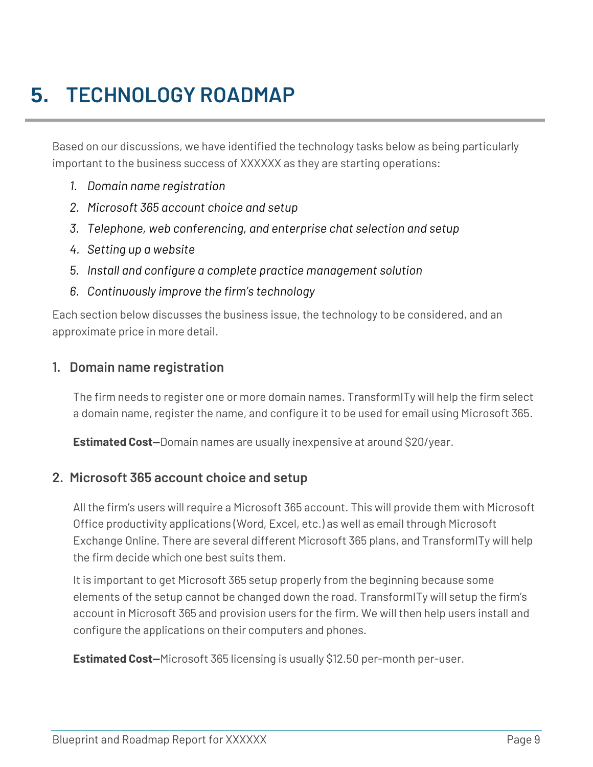# **5. TECHNOLOGY ROADMAP**

Based on our discussions, we have identified the technology tasks below as being particularly important to the business success of XXXXXX as they are starting operations:

- *1. Domain name registration*
- *2. Microsoft 365 account choice and setup*
- *3. Telephone, web conferencing, and enterprise chat selection and setup*
- *4. Setting up a website*
- *5. Install and configure a complete practice management solution*
- *6. Continuously improve the firm's technology*

Each section below discusses the business issue, the technology to be considered, and an approximate price in more detail.

#### **1. Domain name registration**

The firm needs to register one or more domain names. TransformITy will help the firm select a domain name, register the name, and configure it to be used for email using Microsoft 365.

**Estimated Cost—**Domain names are usually inexpensive at around \$20/year.

#### **2. Microsoft 365 account choice and setup**

All the firm's users will require a Microsoft 365 account. This will provide them with Microsoft Office productivity applications (Word, Excel, etc.) as well as email through Microsoft Exchange Online. There are several different Microsoft 365 plans, and TransformITy will help the firm decide which one best suits them.

It is important to get Microsoft 365 setup properly from the beginning because some elements of the setup cannot be changed down the road. TransformITy will setup the firm's account in Microsoft 365 and provision users for the firm. We will then help users install and configure the applications on their computers and phones.

**Estimated Cost—**Microsoft 365 licensing is usually \$12.50 per-month per-user.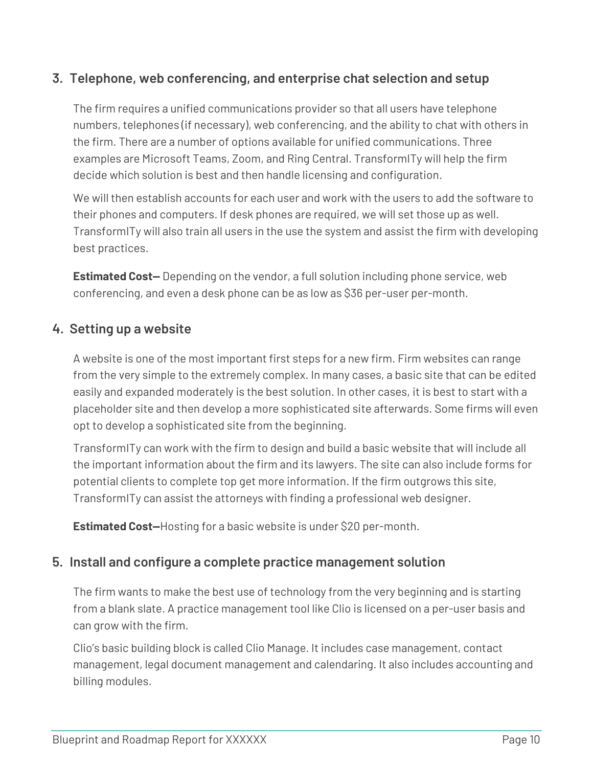## **3. Telephone, web conferencing, and enterprise chat selection and setup**

The firm requires a unified communications provider so that all users have telephone numbers, telephones (if necessary), web conferencing, and the ability to chat with others in the firm. There are a number of options available for unified communications. Three examples are Microsoft Teams, Zoom, and Ring Central. TransformITy will help the firm decide which solution is best and then handle licensing and configuration.

We will then establish accounts for each user and work with the users to add the software to their phones and computers. If desk phones are required, we will set those up as well. TransformITy will also train all users in the use the system and assist the firm with developing best practices.

**Estimated Cost—** Depending on the vendor, a full solution including phone service, web conferencing, and even a desk phone can be as low as \$36 per-user per-month.

### **4. Setting up a website**

A website is one of the most important first steps for a new firm. Firm websites can range from the very simple to the extremely complex. In many cases, a basic site that can be edited easily and expanded moderately is the best solution. In other cases, it is best to start with a placeholder site and then develop a more sophisticated site afterwards. Some firms will even opt to develop a sophisticated site from the beginning.

TransformITy can work with the firm to design and build a basic website that will include all the important information about the firm and its lawyers. The site can also include forms for potential clients to complete top get more information. If the firm outgrows this site, TransformITy can assist the attorneys with finding a professional web designer.

**Estimated Cost—**Hosting for a basic website is under \$20 per-month.

### **5. Install and configure a complete practice management solution**

The firm wants to make the best use of technology from the very beginning and is starting from a blank slate. A practice management tool like Clio is licensed on a per-user basis and can grow with the firm.

Clio's basic building block is called Clio Manage. It includes case management, contact management, legal document management and calendaring. It also includes accounting and billing modules.